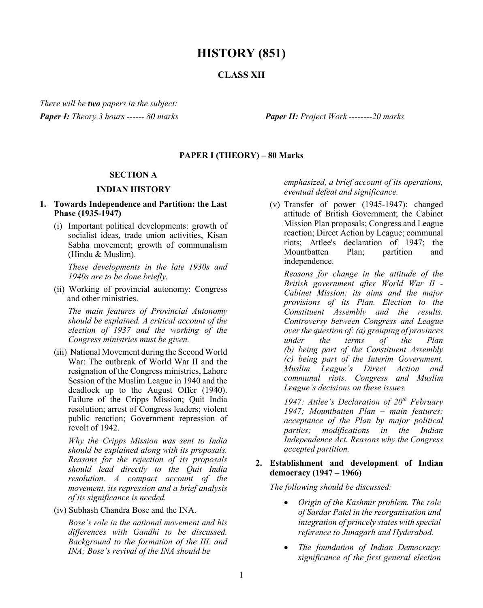# **HISTORY (851)**

## **CLASS XII**

*There will be two papers in the subject: Paper I: Theory 3 hours ------ 80 marks Paper II: Project Work --------20 marks*

#### **PAPER I (THEORY) – 80 Marks**

#### **SECTION A**

#### **INDIAN HISTORY**

#### **1. Towards Independence and Partition: the Last Phase (1935-1947)**

(i) Important political developments: growth of socialist ideas, trade union activities, Kisan Sabha movement; growth of communalism (Hindu & Muslim).

*These developments in the late 1930s and 1940s are to be done briefly.*

(ii) Working of provincial autonomy: Congress and other ministries.

*The main features of Provincial Autonomy should be explained. A critical account of the election of 1937 and the working of the Congress ministries must be given.* 

(iii) National Movement during the Second World War: The outbreak of World War II and the resignation of the Congress ministries, Lahore Session of the Muslim League in 1940 and the deadlock up to the August Offer (1940). Failure of the Cripps Mission; Quit India resolution; arrest of Congress leaders; violent public reaction; Government repression of revolt of 1942.

*Why the Cripps Mission was sent to India should be explained along with its proposals. Reasons for the rejection of its proposals should lead directly to the Quit India resolution. A compact account of the movement, its repression and a brief analysis of its significance is needed.* 

(iv) Subhash Chandra Bose and the INA.

*Bose's role in the national movement and his differences with Gandhi to be discussed. Background to the formation of the IIL and INA; Bose's revival of the INA should be* 

*emphasized, a brief account of its operations, eventual defeat and significance.* 

(v) Transfer of power (1945-1947): changed attitude of British Government; the Cabinet Mission Plan proposals; Congress and League reaction; Direct Action by League; communal riots; Attlee's declaration of 1947; the Mountbatten Plan; partition and independence.

*Reasons for change in the attitude of the British government after World War II - Cabinet Mission: its aims and the major provisions of its Plan. Election to the Constituent Assembly and the results. Controversy between Congress and League over the question of: (a) grouping of provinces under the terms of the Plan (b) being part of the Constituent Assembly (c) being part of the Interim Government. Muslim League's Direct Action and communal riots. Congress and Muslim League's decisions on these issues.*

*1947: Attlee's Declaration of 20th February 1947; Mountbatten Plan – main features: acceptance of the Plan by major political parties; modifications in the Indian Independence Act. Reasons why the Congress accepted partition.* 

#### **2. Establishment and development of Indian democracy (1947 – 1966)**

*The following should be discussed:* 

- *Origin of the Kashmir problem. The role of Sardar Patel in the reorganisation and integration of princely states with special reference to Junagarh and Hyderabad.*
- *The foundation of Indian Democracy: significance of the first general election*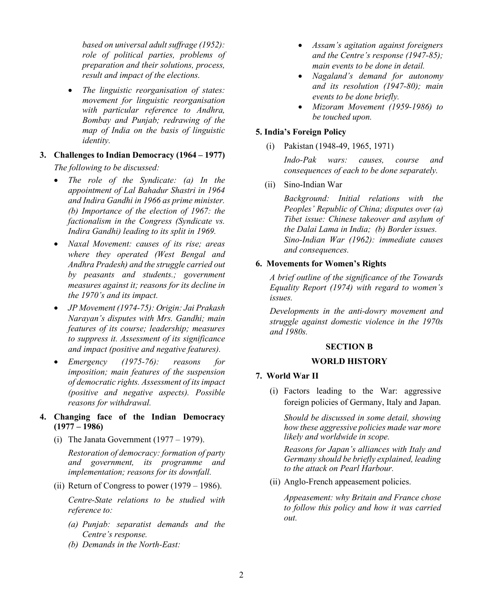*based on universal adult suffrage (1952): role of political parties, problems of preparation and their solutions, process, result and impact of the elections.*

- *The linguistic reorganisation of states: movement for linguistic reorganisation with particular reference to Andhra, Bombay and Punjab; redrawing of the map of India on the basis of linguistic identity.*
- **3. Challenges to Indian Democracy (1964 – 1977)** *The following to be discussed:*
	- *The role of the Syndicate: (a) In the appointment of Lal Bahadur Shastri in 1964 and Indira Gandhi in 1966 as prime minister. (b) Importance of the election of 1967: the factionalism in the Congress (Syndicate vs. Indira Gandhi) leading to its split in 1969.*
	- *Naxal Movement: causes of its rise; areas where they operated (West Bengal and Andhra Pradesh) and the struggle carried out by peasants and students.; government measures against it; reasons for its decline in the 1970's and its impact.*
	- *JP Movement (1974-75): Origin: Jai Prakash Narayan's disputes with Mrs. Gandhi; main features of its course; leadership; measures to suppress it. Assessment of its significance and impact (positive and negative features).*
	- *Emergency (1975-76): reasons for imposition; main features of the suspension of democratic rights. Assessment of its impact (positive and negative aspects). Possible reasons for withdrawal.*

#### **4. Changing face of the Indian Democracy (1977 – 1986)**

(i) The Janata Government  $(1977 - 1979)$ .

*Restoration of democracy: formation of party and government, its programme and implementation; reasons for its downfall.*

(ii) Return of Congress to power  $(1979 - 1986)$ .

*Centre-State relations to be studied with reference to:*

- *(a) Punjab: separatist demands and the Centre's response.*
- *(b) Demands in the North-East:*
- *Assam's agitation against foreigners and the Centre's response (1947-85); main events to be done in detail.*
- *Nagaland's demand for autonomy and its resolution (1947-80); main events to be done briefly.*
- *Mizoram Movement (1959-1986) to be touched upon.*

## **5. India's Foreign Policy**

(i) Pakistan (1948-49, 1965, 1971)

*Indo-Pak wars: causes, course and consequences of each to be done separately.*

(ii) Sino-Indian War

*Background: Initial relations with the Peoples' Republic of China; disputes over (a) Tibet issue: Chinese takeover and asylum of the Dalai Lama in India; (b) Border issues. Sino-Indian War (1962): immediate causes and consequences.*

## **6. Movements for Women's Rights**

*A brief outline of the significance of the Towards Equality Report (1974) with regard to women's issues.* 

*Developments in the anti-dowry movement and struggle against domestic violence in the 1970s and 1980s.*

## **SECTION B**

## **WORLD HISTORY**

## **7. World War II**

(i) Factors leading to the War: aggressive foreign policies of Germany, Italy and Japan.

*Should be discussed in some detail, showing how these aggressive policies made war more likely and worldwide in scope.*

*Reasons for Japan's alliances with Italy and Germany should be briefly explained, leading to the attack on Pearl Harbour.*

(ii) Anglo-French appeasement policies.

*Appeasement: why Britain and France chose to follow this policy and how it was carried out.*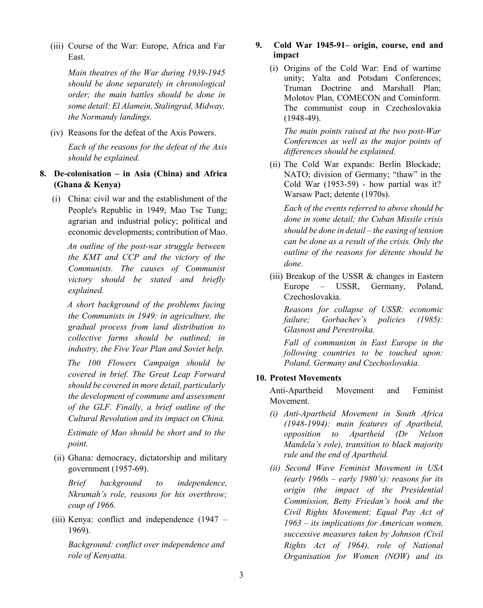(iii) Course of the War: Europe, Africa and Far East.

> *Main theatres of the War during 1939-1945 should be done separately in chronological order; the main battles should be done in some detail: El Alamein, Stalingrad, Midway, the Normandy landings.*

(iv) Reasons for the defeat of the Axis Powers.

*Each of the reasons for the defeat of the Axis should be explained.*

- **8. De-colonisation – in Asia (China) and Africa (Ghana & Kenya)** 
	- (i) China: civil war and the establishment of the People's Republic in 1949; Mao Tse Tung; agrarian and industrial policy; political and economic developments; contribution of Mao.

 *An outline of the post-war struggle between the KMT and CCP and the victory of the Communists. The causes of Communist victory should be stated and briefly explained.* 

 *A short background of the problems facing the Communists in 1949: in agriculture, the gradual process from land distribution to collective farms should be outlined; in industry, the Five Year Plan and Soviet help.* 

 *The 100 Flowers Campaign should be covered in brief. The Great Leap Forward should be covered in more detail, particularly the development of commune and assessment of the GLF. Finally, a brief outline of the Cultural Revolution and its impact on China.* 

 *Estimate of Mao should be short and to the point.* 

(ii) Ghana: democracy, dictatorship and military government (1957-69).

*Brief background to independence, Nkrumah's role, reasons for his overthrow; coup of 1966.* 

(iii) Kenya: conflict and independence (1947 – 1969).

*Background: conflict over independence and role of Kenyatta.*

### **9. Cold War 1945-91– origin, course, end and impact**

(i) Origins of the Cold War: End of wartime unity; Yalta and Potsdam Conferences; Truman Doctrine and Marshall Plan; Molotov Plan, COMECON and Cominform. The communist coup in Czechoslovakia (1948-49).

*The main points raised at the two post-War Conferences as well as the major points of differences should be explained.* 

(ii) The Cold War expands: Berlin Blockade; NATO; division of Germany; "thaw" in the Cold War (1953-59) - how partial was it? Warsaw Pact; detente (1970s).

*Each of the events referred to above should be done in some detail; the Cuban Missile crisis should be done in detail – the easing of tension can be done as a result of the crisis. Only the outline of the reasons for détente should be done.*

(iii) Breakup of the USSR & changes in Eastern Europe – USSR, Germany, Poland, Czechoslovakia.

*Reasons for collapse of USSR: economic failure; Gorbachev's policies (1985): Glasnost and Perestroika.*

*Fall of communism in East Europe in the following countries to be touched upon: Poland, Germany and Czechoslovakia.*

## **10. Protest Movements**

Anti-Apartheid Movement and Feminist Movement.

- *(i) Anti-Apartheid Movement in South Africa (1948-1994): main features of Apartheid, opposition to Apartheid (Dr Nelson Mandela's role), transition to black majority rule and the end of Apartheid.*
- *(ii) Second Wave Feminist Movement in USA (early 1960s – early 1980's): reasons for its origin (the impact of the Presidential Commission, Betty Friedan's book and the Civil Rights Movement; Equal Pay Act of 1963 – its implications for American women, successive measures taken by Johnson (Civil Rights Act of 1964), role of National Organisation for Women (NOW) and its*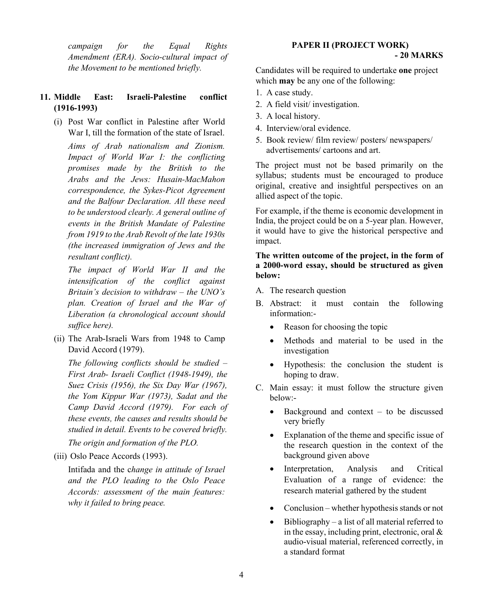*campaign for the Equal Rights Amendment (ERA). Socio-cultural impact of the Movement to be mentioned briefly.*

## **11. Middle East: Israeli-Palestine conflict (1916-1993)**

(i) Post War conflict in Palestine after World War I, till the formation of the state of Israel.

*Aims of Arab nationalism and Zionism. Impact of World War I: the conflicting promises made by the British to the Arabs and the Jews: Husain-MacMahon correspondence, the Sykes-Picot Agreement and the Balfour Declaration. All these need to be understood clearly. A general outline of events in the British Mandate of Palestine from 1919 to the Arab Revolt of the late 1930s (the increased immigration of Jews and the resultant conflict).* 

*The impact of World War II and the intensification of the conflict against Britain's decision to withdraw – the UNO's plan. Creation of Israel and the War of Liberation (a chronological account should suffice here).*

(ii) The Arab-Israeli Wars from 1948 to Camp David Accord (1979).

*The following conflicts should be studied – First Arab- Israeli Conflict (1948-1949), the Suez Crisis (1956), the Six Day War (1967), the Yom Kippur War (1973), Sadat and the Camp David Accord (1979). For each of these events, the causes and results should be studied in detail. Events to be covered briefly.*

*The origin and formation of the PLO.* 

(iii) Oslo Peace Accords (1993).

Intifada and the c*hange in attitude of Israel and the PLO leading to the Oslo Peace Accords: assessment of the main features: why it failed to bring peace.*

## **PAPER II (PROJECT WORK)**

#### **- 20 MARKS**

Candidates will be required to undertake **one** project which **may** be any one of the following:

- 1. A case study.
- 2. A field visit/ investigation.
- 3. A local history.
- 4. Interview/oral evidence.
- 5. Book review/ film review/ posters/ newspapers/ advertisements/ cartoons and art.

The project must not be based primarily on the syllabus; students must be encouraged to produce original, creative and insightful perspectives on an allied aspect of the topic.

For example, if the theme is economic development in India, the project could be on a 5-year plan. However, it would have to give the historical perspective and impact.

#### **The written outcome of the project, in the form of a 2000-word essay, should be structured as given below:**

- A. The research question
- B. Abstract: it must contain the following information:-
	- Reason for choosing the topic
	- Methods and material to be used in the investigation
	- Hypothesis: the conclusion the student is hoping to draw.
- C. Main essay: it must follow the structure given below:-
	- Background and context to be discussed very briefly
	- Explanation of the theme and specific issue of the research question in the context of the background given above
	- Interpretation, Analysis and Critical Evaluation of a range of evidence: the research material gathered by the student
	- Conclusion whether hypothesis stands or not
	- Bibliography a list of all material referred to in the essay, including print, electronic, oral & audio-visual material, referenced correctly, in a standard format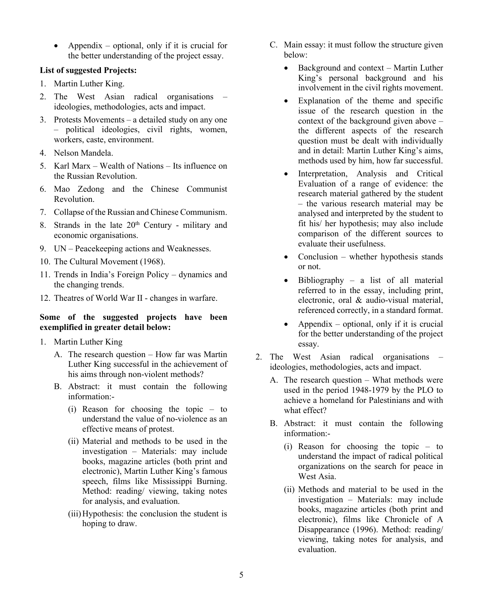• Appendix – optional, only if it is crucial for the better understanding of the project essay.

## **List of suggested Projects:**

- 1. Martin Luther King.
- 2. The West Asian radical organisations ideologies, methodologies, acts and impact.
- 3. Protests Movements a detailed study on any one – political ideologies, civil rights, women, workers, caste, environment.
- 4. Nelson Mandela.
- 5. Karl Marx Wealth of Nations Its influence on the Russian Revolution.
- 6. Mao Zedong and the Chinese Communist Revolution.
- 7. Collapse of the Russian and Chinese Communism.
- 8. Strands in the late  $20<sup>th</sup>$  Century military and economic organisations.
- 9. UN Peacekeeping actions and Weaknesses.
- 10. The Cultural Movement (1968).
- 11. Trends in India's Foreign Policy dynamics and the changing trends.
- 12. Theatres of World War II changes in warfare.

## **Some of the suggested projects have been exemplified in greater detail below:**

- 1. Martin Luther King
	- A. The research question How far was Martin Luther King successful in the achievement of his aims through non-violent methods?
	- B. Abstract: it must contain the following information:-
		- (i) Reason for choosing the topic to understand the value of no-violence as an effective means of protest.
		- (ii) Material and methods to be used in the investigation – Materials: may include books, magazine articles (both print and electronic), Martin Luther King's famous speech, films like Mississippi Burning. Method: reading/ viewing, taking notes for analysis, and evaluation.
		- (iii)Hypothesis: the conclusion the student is hoping to draw.
- C. Main essay: it must follow the structure given below:
	- Background and context Martin Luther King's personal background and his involvement in the civil rights movement.
	- Explanation of the theme and specific issue of the research question in the context of the background given above – the different aspects of the research question must be dealt with individually and in detail: Martin Luther King's aims, methods used by him, how far successful.
	- Interpretation, Analysis and Critical Evaluation of a range of evidence: the research material gathered by the student – the various research material may be analysed and interpreted by the student to fit his/ her hypothesis; may also include comparison of the different sources to evaluate their usefulness.
	- $Conclusion whether hypothesis stands$ or not.
	- Bibliography a list of all material referred to in the essay, including print, electronic, oral & audio-visual material, referenced correctly, in a standard format.
	- Appendix optional, only if it is crucial for the better understanding of the project essay.
- 2. The West Asian radical organisations ideologies, methodologies, acts and impact.
	- A. The research question What methods were used in the period 1948-1979 by the PLO to achieve a homeland for Palestinians and with what effect?
	- B. Abstract: it must contain the following information:-
		- (i) Reason for choosing the topic to understand the impact of radical political organizations on the search for peace in West Asia.
		- (ii) Methods and material to be used in the investigation – Materials: may include books, magazine articles (both print and electronic), films like Chronicle of A Disappearance (1996). Method: reading/ viewing, taking notes for analysis, and evaluation.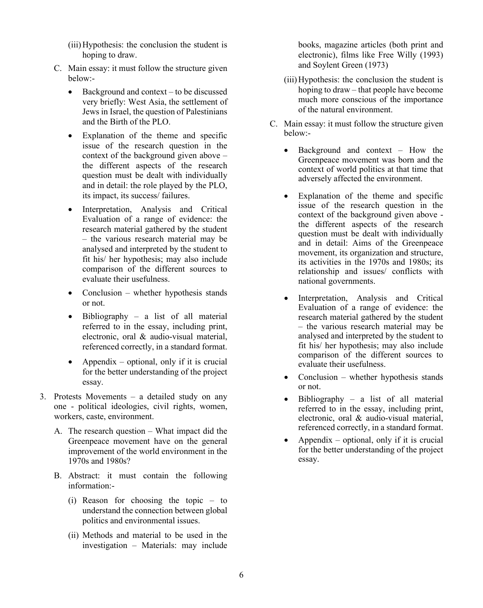- (iii)Hypothesis: the conclusion the student is hoping to draw.
- C. Main essay: it must follow the structure given below:-
	- Background and context to be discussed very briefly: West Asia, the settlement of Jews in Israel, the question of Palestinians and the Birth of the PLO.
	- Explanation of the theme and specific issue of the research question in the context of the background given above – the different aspects of the research question must be dealt with individually and in detail: the role played by the PLO, its impact, its success/ failures.
	- Interpretation, Analysis and Critical Evaluation of a range of evidence: the research material gathered by the student – the various research material may be analysed and interpreted by the student to fit his/ her hypothesis; may also include comparison of the different sources to evaluate their usefulness.
	- Conclusion whether hypothesis stands or not.
	- Bibliography a list of all material referred to in the essay, including print, electronic, oral & audio-visual material, referenced correctly, in a standard format.
	- Appendix optional, only if it is crucial for the better understanding of the project essay.
- 3. Protests Movements a detailed study on any one - political ideologies, civil rights, women, workers, caste, environment.
	- A. The research question What impact did the Greenpeace movement have on the general improvement of the world environment in the 1970s and 1980s?
	- B. Abstract: it must contain the following information:-
		- (i) Reason for choosing the topic to understand the connection between global politics and environmental issues.
		- (ii) Methods and material to be used in the investigation – Materials: may include

books, magazine articles (both print and electronic), films like Free Willy (1993) and Soylent Green (1973)

- (iii)Hypothesis: the conclusion the student is hoping to draw – that people have become much more conscious of the importance of the natural environment.
- C. Main essay: it must follow the structure given below:-
	- Background and context How the Greenpeace movement was born and the context of world politics at that time that adversely affected the environment.
	- Explanation of the theme and specific issue of the research question in the context of the background given above the different aspects of the research question must be dealt with individually and in detail: Aims of the Greenpeace movement, its organization and structure, its activities in the 1970s and 1980s; its relationship and issues/ conflicts with national governments.
	- Interpretation, Analysis and Critical Evaluation of a range of evidence: the research material gathered by the student – the various research material may be analysed and interpreted by the student to fit his/ her hypothesis; may also include comparison of the different sources to evaluate their usefulness.
	- Conclusion whether hypothesis stands or not.
	- Bibliography a list of all material referred to in the essay, including print, electronic, oral & audio-visual material, referenced correctly, in a standard format.
	- Appendix optional, only if it is crucial for the better understanding of the project essay.